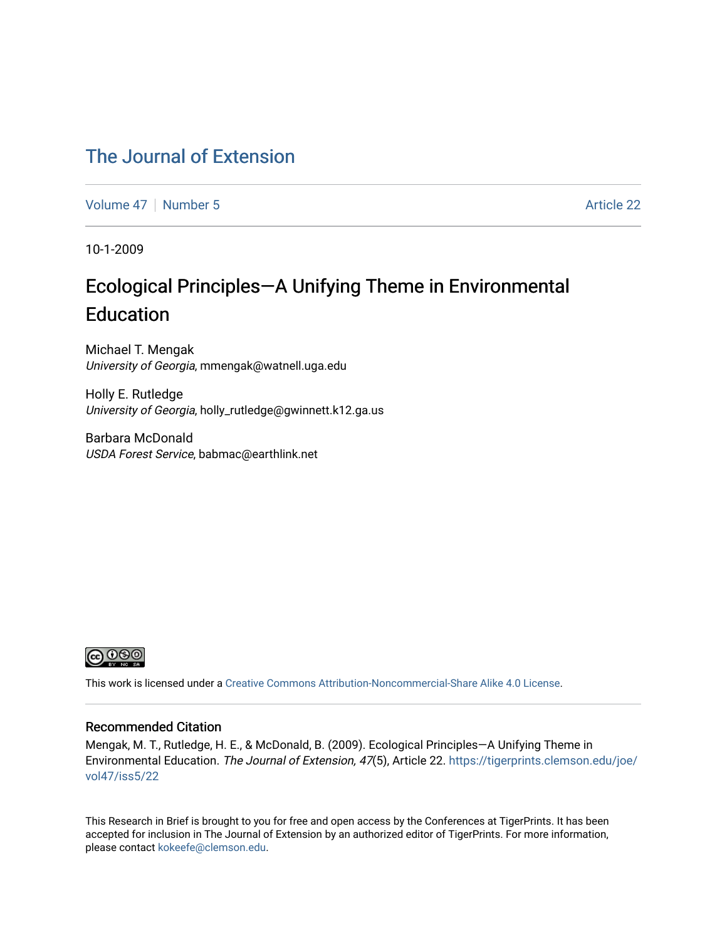### [The Journal of Extension](https://tigerprints.clemson.edu/joe)

[Volume 47](https://tigerprints.clemson.edu/joe/vol47) | [Number 5](https://tigerprints.clemson.edu/joe/vol47/iss5) Article 22

10-1-2009

## Ecological Principles—A Unifying Theme in Environmental Education

Michael T. Mengak University of Georgia, mmengak@watnell.uga.edu

Holly E. Rutledge University of Georgia, holly\_rutledge@gwinnett.k12.ga.us

Barbara McDonald USDA Forest Service, babmac@earthlink.net



This work is licensed under a [Creative Commons Attribution-Noncommercial-Share Alike 4.0 License.](https://creativecommons.org/licenses/by-nc-sa/4.0/)

#### Recommended Citation

Mengak, M. T., Rutledge, H. E., & McDonald, B. (2009). Ecological Principles—A Unifying Theme in Environmental Education. The Journal of Extension, 47(5), Article 22. [https://tigerprints.clemson.edu/joe/](https://tigerprints.clemson.edu/joe/vol47/iss5/22) [vol47/iss5/22](https://tigerprints.clemson.edu/joe/vol47/iss5/22) 

This Research in Brief is brought to you for free and open access by the Conferences at TigerPrints. It has been accepted for inclusion in The Journal of Extension by an authorized editor of TigerPrints. For more information, please contact [kokeefe@clemson.edu](mailto:kokeefe@clemson.edu).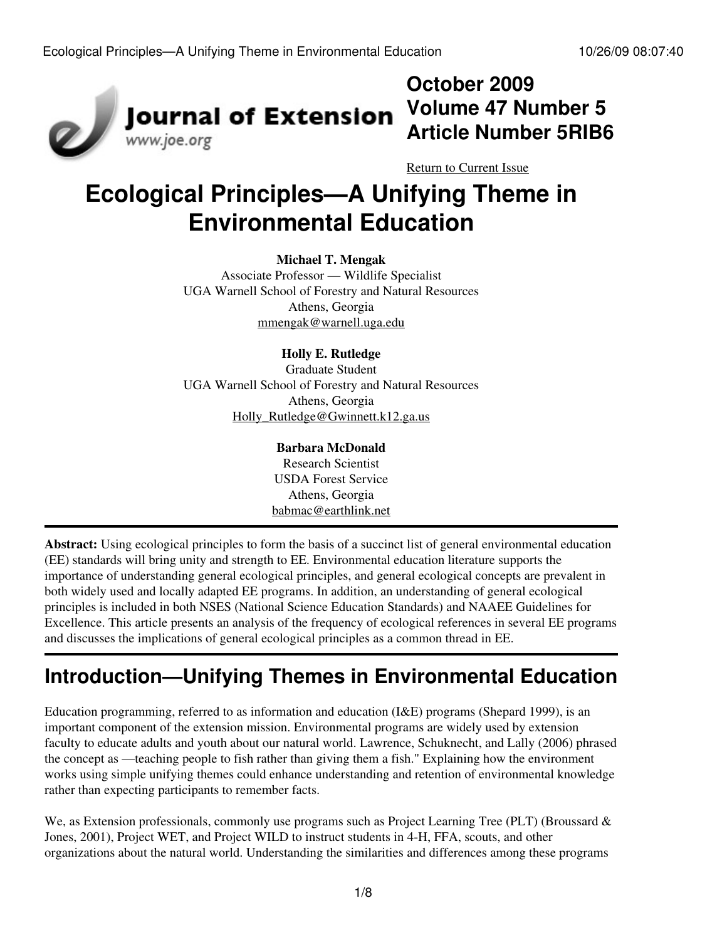

## **October 2009 Volume 47 Number 5 Article Number 5RIB6**

[Return to Current Issue](http://www.joe.org:80/joe/2009october/)

# **Ecological Principles—A Unifying Theme in Environmental Education**

### **Michael T. Mengak**

Associate Professor — Wildlife Specialist UGA Warnell School of Forestry and Natural Resources Athens, Georgia [mmengak@warnell.uga.edu](mailto:mmengak@warnell.uga.edu)

### **Holly E. Rutledge**

Graduate Student UGA Warnell School of Forestry and Natural Resources Athens, Georgia [Holly\\_Rutledge@Gwinnett.k12.ga.us](mailto:Holly_Rutledge@Gwinnett.k12.ga.us)

### **Barbara McDonald**

Research Scientist USDA Forest Service Athens, Georgia [babmac@earthlink.net](mailto:babmac@earthlink.net)

**Abstract:** Using ecological principles to form the basis of a succinct list of general environmental education (EE) standards will bring unity and strength to EE. Environmental education literature supports the importance of understanding general ecological principles, and general ecological concepts are prevalent in both widely used and locally adapted EE programs. In addition, an understanding of general ecological principles is included in both NSES (National Science Education Standards) and NAAEE Guidelines for Excellence. This article presents an analysis of the frequency of ecological references in several EE programs and discusses the implications of general ecological principles as a common thread in EE.

# **Introduction—Unifying Themes in Environmental Education**

Education programming, referred to as information and education (I&E) programs (Shepard 1999), is an important component of the extension mission. Environmental programs are widely used by extension faculty to educate adults and youth about our natural world. Lawrence, Schuknecht, and Lally (2006) phrased the concept as —teaching people to fish rather than giving them a fish." Explaining how the environment works using simple unifying themes could enhance understanding and retention of environmental knowledge rather than expecting participants to remember facts.

We, as Extension professionals, commonly use programs such as Project Learning Tree (PLT) (Broussard & Jones, 2001), Project WET, and Project WILD to instruct students in 4-H, FFA, scouts, and other organizations about the natural world. Understanding the similarities and differences among these programs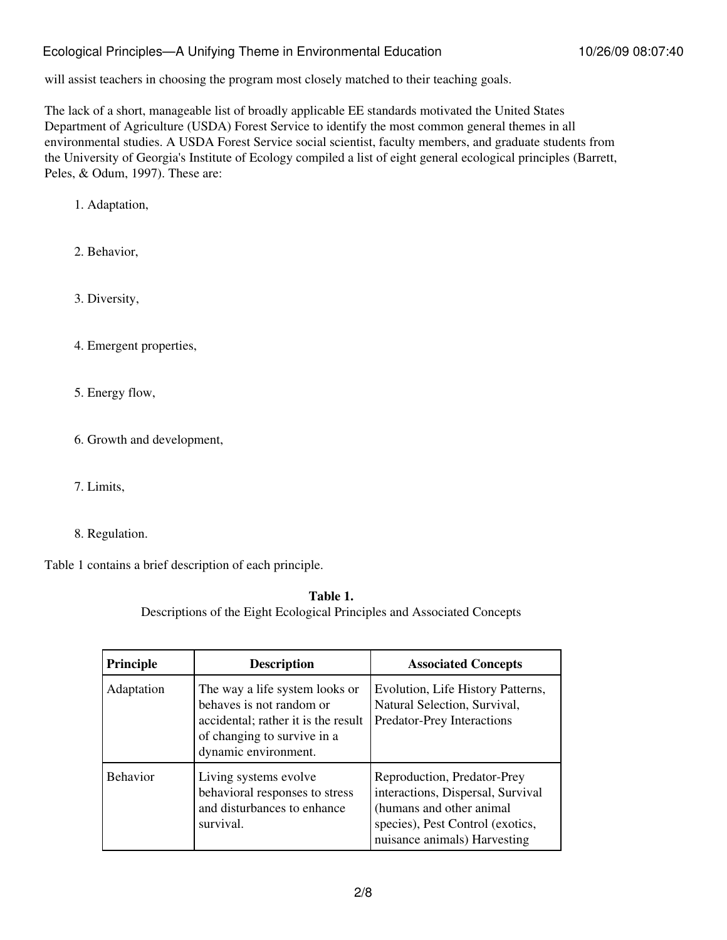will assist teachers in choosing the program most closely matched to their teaching goals.

The lack of a short, manageable list of broadly applicable EE standards motivated the United States Department of Agriculture (USDA) Forest Service to identify the most common general themes in all environmental studies. A USDA Forest Service social scientist, faculty members, and graduate students from the University of Georgia's Institute of Ecology compiled a list of eight general ecological principles (Barrett, Peles, & Odum, 1997). These are:

1. Adaptation,

2. Behavior,

3. Diversity,

4. Emergent properties,

5. Energy flow,

6. Growth and development,

- 7. Limits,
- 8. Regulation.

Table 1 contains a brief description of each principle.

**Table 1.** Descriptions of the Eight Ecological Principles and Associated Concepts

| <b>Principle</b> | <b>Description</b>                                                                                                                                       | <b>Associated Concepts</b>                                                                                                                                       |  |
|------------------|----------------------------------------------------------------------------------------------------------------------------------------------------------|------------------------------------------------------------------------------------------------------------------------------------------------------------------|--|
| Adaptation       | The way a life system looks or<br>behaves is not random or<br>accidental; rather it is the result<br>of changing to survive in a<br>dynamic environment. | Evolution, Life History Patterns,<br>Natural Selection, Survival,<br>Predator-Prey Interactions                                                                  |  |
| <b>Behavior</b>  | Living systems evolve<br>behavioral responses to stress<br>and disturbances to enhance<br>survival.                                                      | Reproduction, Predator-Prey<br>interactions, Dispersal, Survival<br>(humans and other animal<br>species), Pest Control (exotics,<br>nuisance animals) Harvesting |  |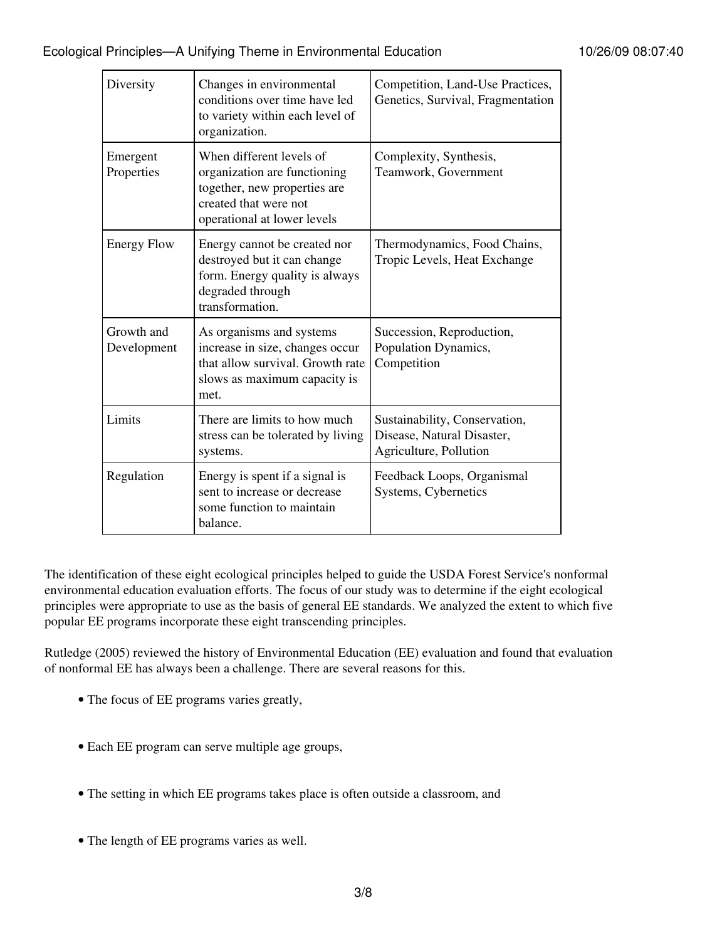| Diversity                 | Changes in environmental<br>conditions over time have led<br>to variety within each level of<br>organization.                                    | Competition, Land-Use Practices,<br>Genetics, Survival, Fragmentation                 |
|---------------------------|--------------------------------------------------------------------------------------------------------------------------------------------------|---------------------------------------------------------------------------------------|
| Emergent<br>Properties    | When different levels of<br>organization are functioning<br>together, new properties are<br>created that were not<br>operational at lower levels | Complexity, Synthesis,<br>Teamwork, Government                                        |
| <b>Energy Flow</b>        | Energy cannot be created nor<br>destroyed but it can change<br>form. Energy quality is always<br>degraded through<br>transformation.             | Thermodynamics, Food Chains,<br>Tropic Levels, Heat Exchange                          |
| Growth and<br>Development | As organisms and systems<br>increase in size, changes occur<br>that allow survival. Growth rate<br>slows as maximum capacity is<br>met.          | Succession, Reproduction,<br>Population Dynamics,<br>Competition                      |
| Limits                    | There are limits to how much<br>stress can be tolerated by living<br>systems.                                                                    | Sustainability, Conservation,<br>Disease, Natural Disaster,<br>Agriculture, Pollution |
| Regulation                | Energy is spent if a signal is<br>sent to increase or decrease<br>some function to maintain<br>balance.                                          | Feedback Loops, Organismal<br>Systems, Cybernetics                                    |

The identification of these eight ecological principles helped to guide the USDA Forest Service's nonformal environmental education evaluation efforts. The focus of our study was to determine if the eight ecological principles were appropriate to use as the basis of general EE standards. We analyzed the extent to which five popular EE programs incorporate these eight transcending principles.

Rutledge (2005) reviewed the history of Environmental Education (EE) evaluation and found that evaluation of nonformal EE has always been a challenge. There are several reasons for this.

- The focus of EE programs varies greatly,
- Each EE program can serve multiple age groups,
- The setting in which EE programs takes place is often outside a classroom, and
- The length of EE programs varies as well.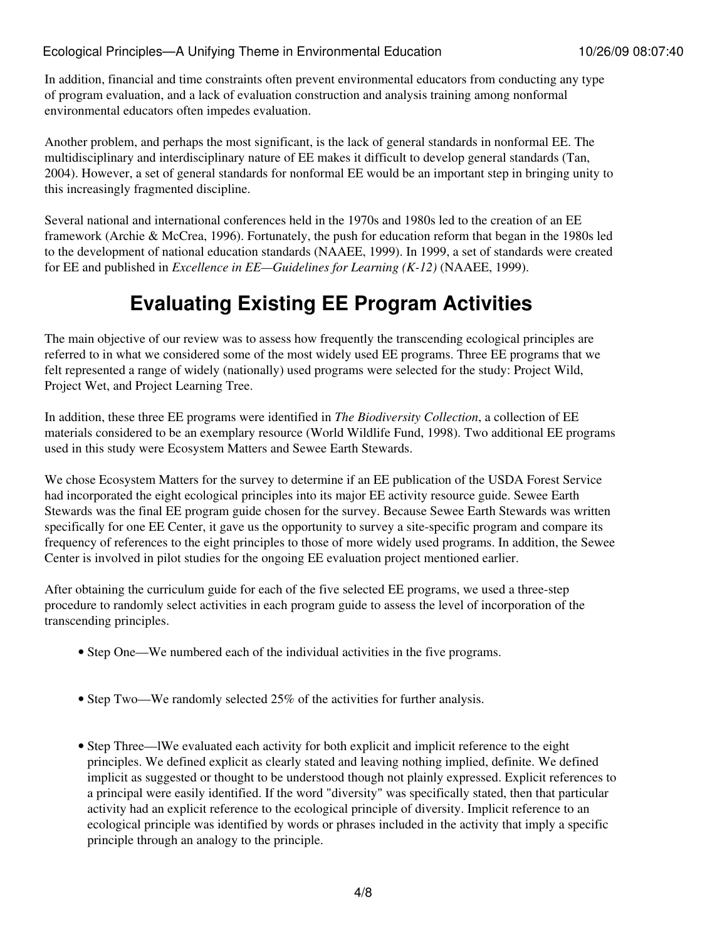In addition, financial and time constraints often prevent environmental educators from conducting any type of program evaluation, and a lack of evaluation construction and analysis training among nonformal environmental educators often impedes evaluation.

Another problem, and perhaps the most significant, is the lack of general standards in nonformal EE. The multidisciplinary and interdisciplinary nature of EE makes it difficult to develop general standards (Tan, 2004). However, a set of general standards for nonformal EE would be an important step in bringing unity to this increasingly fragmented discipline.

Several national and international conferences held in the 1970s and 1980s led to the creation of an EE framework (Archie & McCrea, 1996). Fortunately, the push for education reform that began in the 1980s led to the development of national education standards (NAAEE, 1999). In 1999, a set of standards were created for EE and published in *Excellence in EE—Guidelines for Learning (K-12)* (NAAEE, 1999).

## **Evaluating Existing EE Program Activities**

The main objective of our review was to assess how frequently the transcending ecological principles are referred to in what we considered some of the most widely used EE programs. Three EE programs that we felt represented a range of widely (nationally) used programs were selected for the study: Project Wild, Project Wet, and Project Learning Tree.

In addition, these three EE programs were identified in *The Biodiversity Collection*, a collection of EE materials considered to be an exemplary resource (World Wildlife Fund, 1998). Two additional EE programs used in this study were Ecosystem Matters and Sewee Earth Stewards.

We chose Ecosystem Matters for the survey to determine if an EE publication of the USDA Forest Service had incorporated the eight ecological principles into its major EE activity resource guide. Sewee Earth Stewards was the final EE program guide chosen for the survey. Because Sewee Earth Stewards was written specifically for one EE Center, it gave us the opportunity to survey a site-specific program and compare its frequency of references to the eight principles to those of more widely used programs. In addition, the Sewee Center is involved in pilot studies for the ongoing EE evaluation project mentioned earlier.

After obtaining the curriculum guide for each of the five selected EE programs, we used a three-step procedure to randomly select activities in each program guide to assess the level of incorporation of the transcending principles.

- Step One—We numbered each of the individual activities in the five programs.
- Step Two—We randomly selected 25% of the activities for further analysis.
- Step Three—IWe evaluated each activity for both explicit and implicit reference to the eight principles. We defined explicit as clearly stated and leaving nothing implied, definite. We defined implicit as suggested or thought to be understood though not plainly expressed. Explicit references to a principal were easily identified. If the word "diversity" was specifically stated, then that particular activity had an explicit reference to the ecological principle of diversity. Implicit reference to an ecological principle was identified by words or phrases included in the activity that imply a specific principle through an analogy to the principle.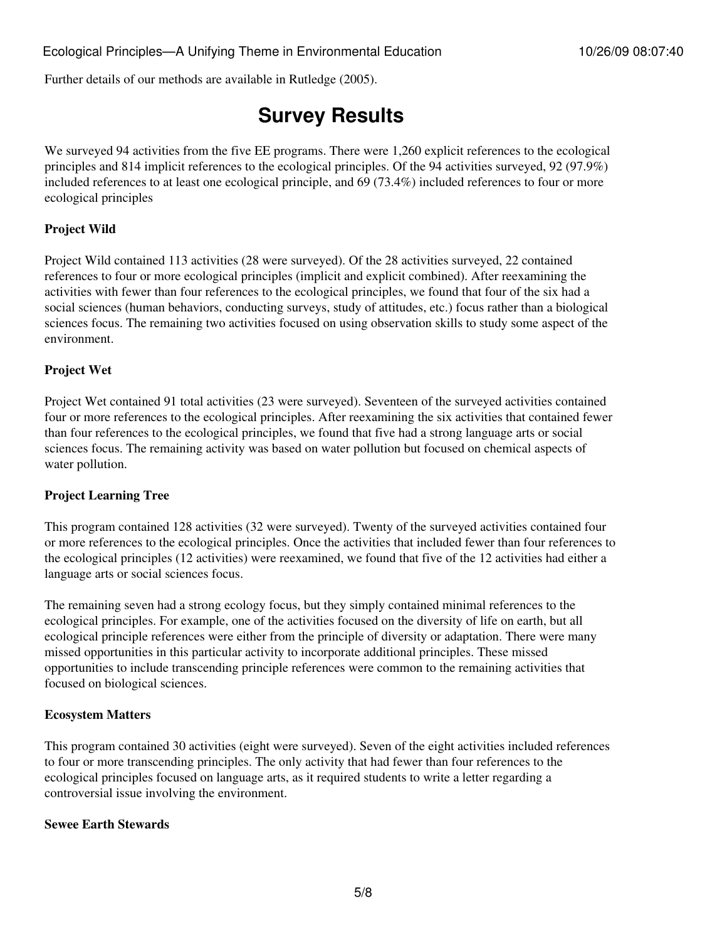Further details of our methods are available in Rutledge (2005).

## **Survey Results**

We surveyed 94 activities from the five EE programs. There were 1,260 explicit references to the ecological principles and 814 implicit references to the ecological principles. Of the 94 activities surveyed, 92 (97.9%) included references to at least one ecological principle, and 69 (73.4%) included references to four or more ecological principles

#### **Project Wild**

Project Wild contained 113 activities (28 were surveyed). Of the 28 activities surveyed, 22 contained references to four or more ecological principles (implicit and explicit combined). After reexamining the activities with fewer than four references to the ecological principles, we found that four of the six had a social sciences (human behaviors, conducting surveys, study of attitudes, etc.) focus rather than a biological sciences focus. The remaining two activities focused on using observation skills to study some aspect of the environment.

#### **Project Wet**

Project Wet contained 91 total activities (23 were surveyed). Seventeen of the surveyed activities contained four or more references to the ecological principles. After reexamining the six activities that contained fewer than four references to the ecological principles, we found that five had a strong language arts or social sciences focus. The remaining activity was based on water pollution but focused on chemical aspects of water pollution.

#### **Project Learning Tree**

This program contained 128 activities (32 were surveyed). Twenty of the surveyed activities contained four or more references to the ecological principles. Once the activities that included fewer than four references to the ecological principles (12 activities) were reexamined, we found that five of the 12 activities had either a language arts or social sciences focus.

The remaining seven had a strong ecology focus, but they simply contained minimal references to the ecological principles. For example, one of the activities focused on the diversity of life on earth, but all ecological principle references were either from the principle of diversity or adaptation. There were many missed opportunities in this particular activity to incorporate additional principles. These missed opportunities to include transcending principle references were common to the remaining activities that focused on biological sciences.

#### **Ecosystem Matters**

This program contained 30 activities (eight were surveyed). Seven of the eight activities included references to four or more transcending principles. The only activity that had fewer than four references to the ecological principles focused on language arts, as it required students to write a letter regarding a controversial issue involving the environment.

#### **Sewee Earth Stewards**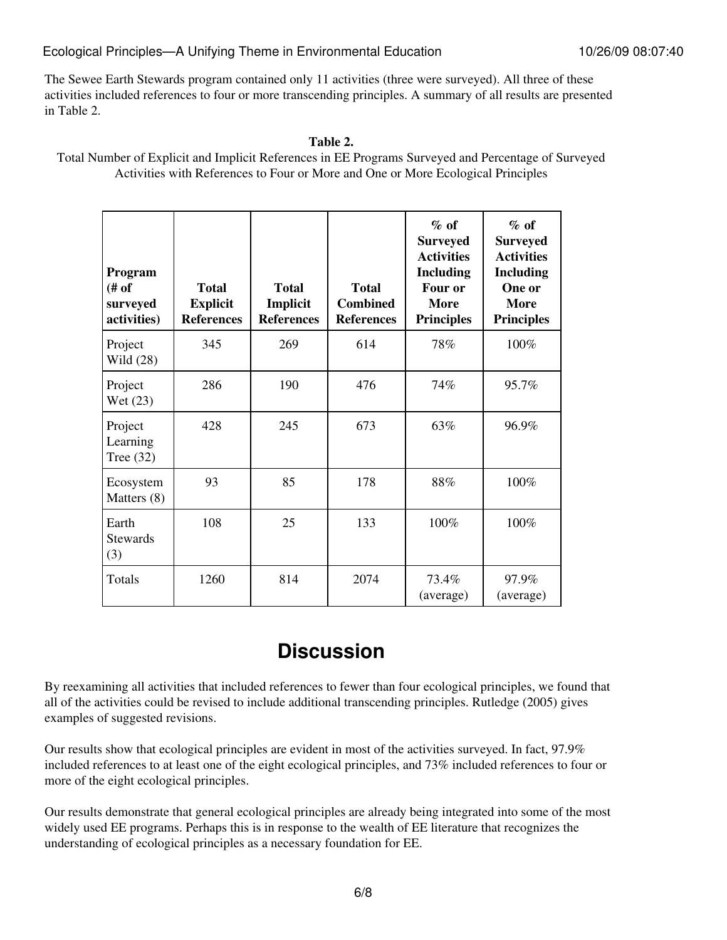The Sewee Earth Stewards program contained only 11 activities (three were surveyed). All three of these activities included references to four or more transcending principles. A summary of all results are presented in Table 2.

#### **Table 2.**

Total Number of Explicit and Implicit References in EE Programs Surveyed and Percentage of Surveyed Activities with References to Four or More and One or More Ecological Principles

| Program<br>$f$ of<br>surveyed<br>activities) | <b>Total</b><br><b>Explicit</b><br><b>References</b> | <b>Total</b><br>Implicit<br><b>References</b> | <b>Total</b><br><b>Combined</b><br><b>References</b> | $%$ of<br><b>Surveyed</b><br><b>Activities</b><br><b>Including</b><br>Four or<br><b>More</b><br><b>Principles</b> | $%$ of<br><b>Surveyed</b><br><b>Activities</b><br><b>Including</b><br>One or<br><b>More</b><br><b>Principles</b> |
|----------------------------------------------|------------------------------------------------------|-----------------------------------------------|------------------------------------------------------|-------------------------------------------------------------------------------------------------------------------|------------------------------------------------------------------------------------------------------------------|
| Project<br>Wild (28)                         | 345                                                  | 269                                           | 614                                                  | 78%                                                                                                               | 100%                                                                                                             |
| Project<br>Wet (23)                          | 286                                                  | 190                                           | 476                                                  | 74%                                                                                                               | 95.7%                                                                                                            |
| Project<br>Learning<br>Tree $(32)$           | 428                                                  | 245                                           | 673                                                  | 63%                                                                                                               | 96.9%                                                                                                            |
| Ecosystem<br>Matters (8)                     | 93                                                   | 85                                            | 178                                                  | 88%                                                                                                               | 100%                                                                                                             |
| Earth<br><b>Stewards</b><br>(3)              | 108                                                  | 25                                            | 133                                                  | 100%                                                                                                              | 100%                                                                                                             |
| Totals                                       | 1260                                                 | 814                                           | 2074                                                 | 73.4%<br>(average)                                                                                                | 97.9%<br>(average)                                                                                               |

## **Discussion**

By reexamining all activities that included references to fewer than four ecological principles, we found that all of the activities could be revised to include additional transcending principles. Rutledge (2005) gives examples of suggested revisions.

Our results show that ecological principles are evident in most of the activities surveyed. In fact, 97.9% included references to at least one of the eight ecological principles, and 73% included references to four or more of the eight ecological principles.

Our results demonstrate that general ecological principles are already being integrated into some of the most widely used EE programs. Perhaps this is in response to the wealth of EE literature that recognizes the understanding of ecological principles as a necessary foundation for EE.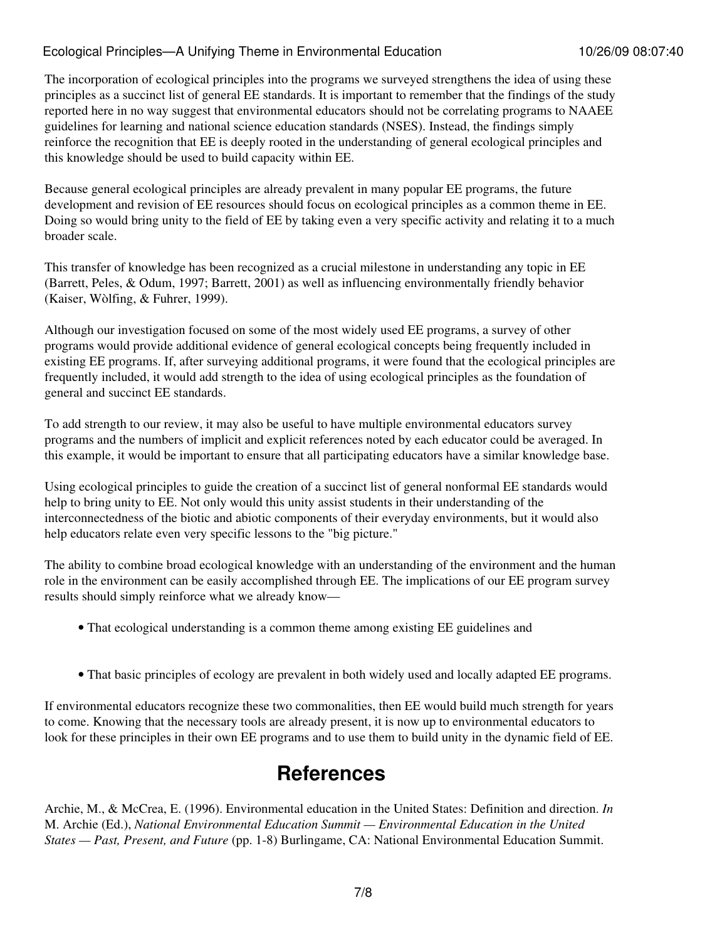The incorporation of ecological principles into the programs we surveyed strengthens the idea of using these principles as a succinct list of general EE standards. It is important to remember that the findings of the study reported here in no way suggest that environmental educators should not be correlating programs to NAAEE guidelines for learning and national science education standards (NSES). Instead, the findings simply reinforce the recognition that EE is deeply rooted in the understanding of general ecological principles and this knowledge should be used to build capacity within EE.

Because general ecological principles are already prevalent in many popular EE programs, the future development and revision of EE resources should focus on ecological principles as a common theme in EE. Doing so would bring unity to the field of EE by taking even a very specific activity and relating it to a much broader scale.

This transfer of knowledge has been recognized as a crucial milestone in understanding any topic in EE (Barrett, Peles, & Odum, 1997; Barrett, 2001) as well as influencing environmentally friendly behavior (Kaiser, Wòlfing, & Fuhrer, 1999).

Although our investigation focused on some of the most widely used EE programs, a survey of other programs would provide additional evidence of general ecological concepts being frequently included in existing EE programs. If, after surveying additional programs, it were found that the ecological principles are frequently included, it would add strength to the idea of using ecological principles as the foundation of general and succinct EE standards.

To add strength to our review, it may also be useful to have multiple environmental educators survey programs and the numbers of implicit and explicit references noted by each educator could be averaged. In this example, it would be important to ensure that all participating educators have a similar knowledge base.

Using ecological principles to guide the creation of a succinct list of general nonformal EE standards would help to bring unity to EE. Not only would this unity assist students in their understanding of the interconnectedness of the biotic and abiotic components of their everyday environments, but it would also help educators relate even very specific lessons to the "big picture."

The ability to combine broad ecological knowledge with an understanding of the environment and the human role in the environment can be easily accomplished through EE. The implications of our EE program survey results should simply reinforce what we already know—

- That ecological understanding is a common theme among existing EE guidelines and
- That basic principles of ecology are prevalent in both widely used and locally adapted EE programs.

If environmental educators recognize these two commonalities, then EE would build much strength for years to come. Knowing that the necessary tools are already present, it is now up to environmental educators to look for these principles in their own EE programs and to use them to build unity in the dynamic field of EE.

## **References**

Archie, M., & McCrea, E. (1996). Environmental education in the United States: Definition and direction. *In* M. Archie (Ed.), *National Environmental Education Summit — Environmental Education in the United States — Past, Present, and Future* (pp. 1-8) Burlingame, CA: National Environmental Education Summit.